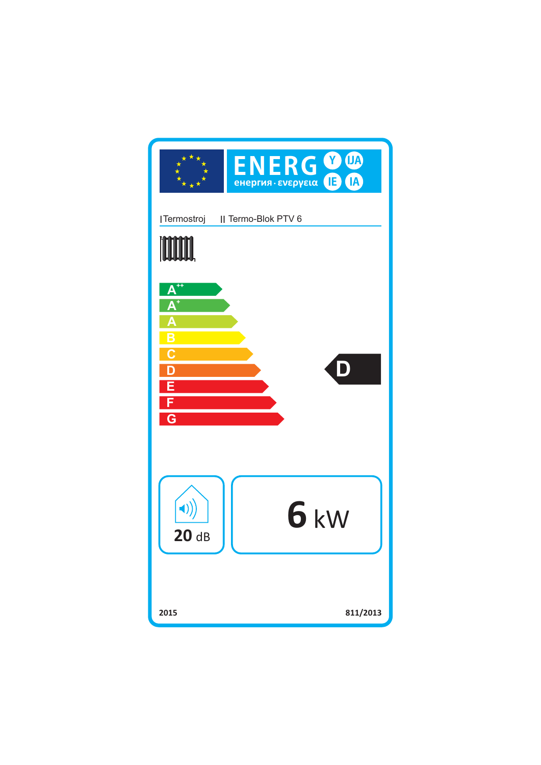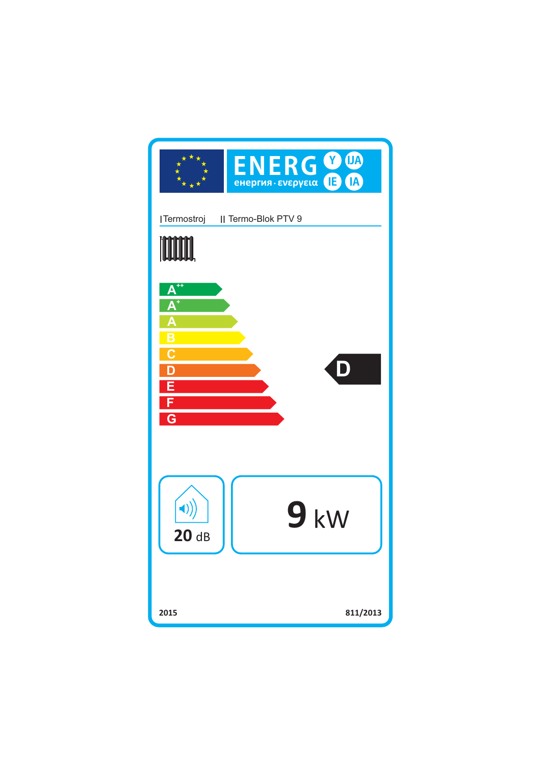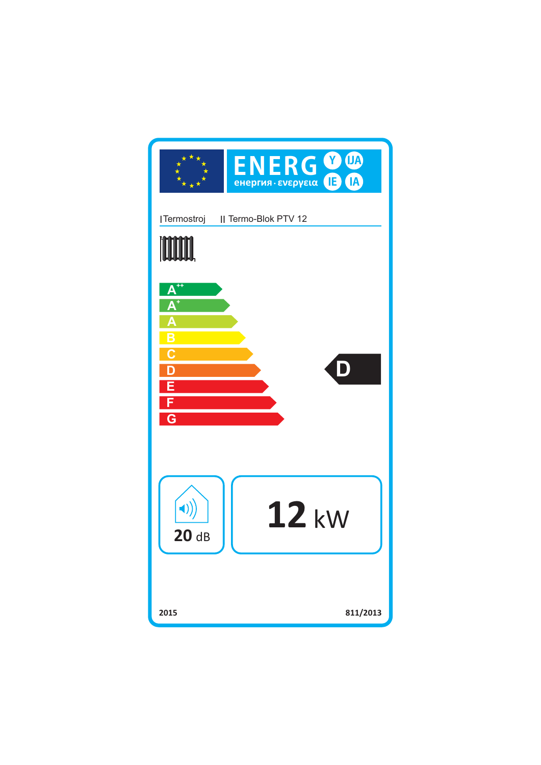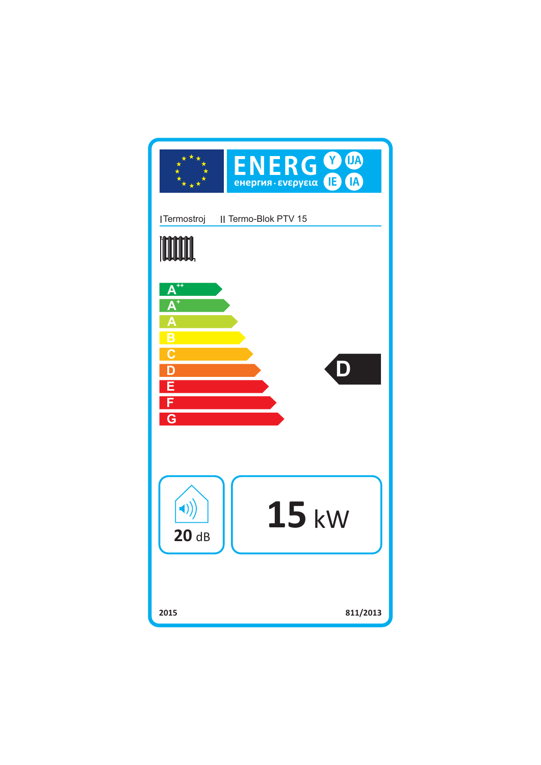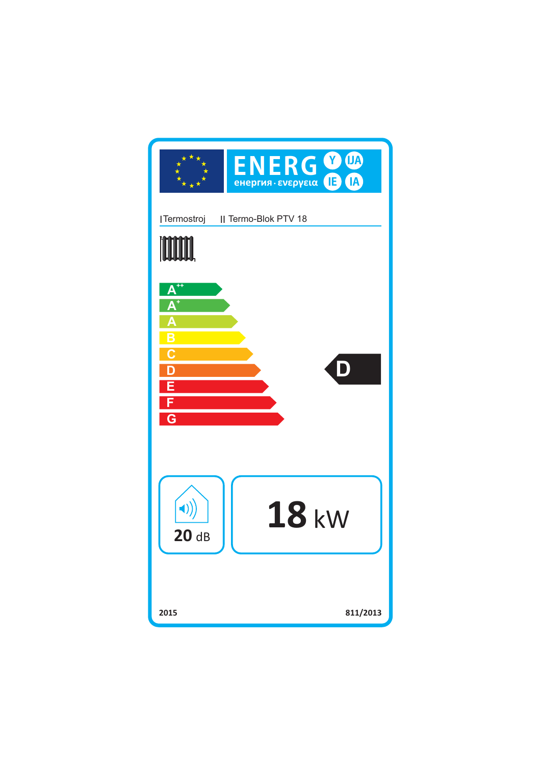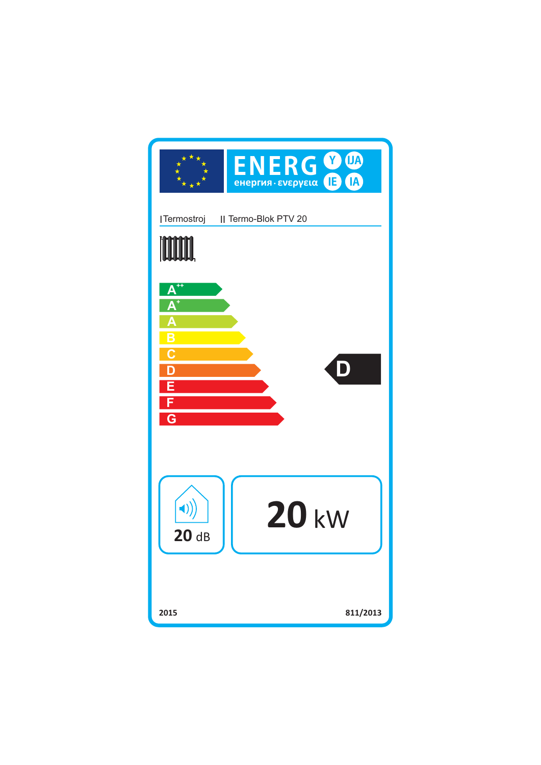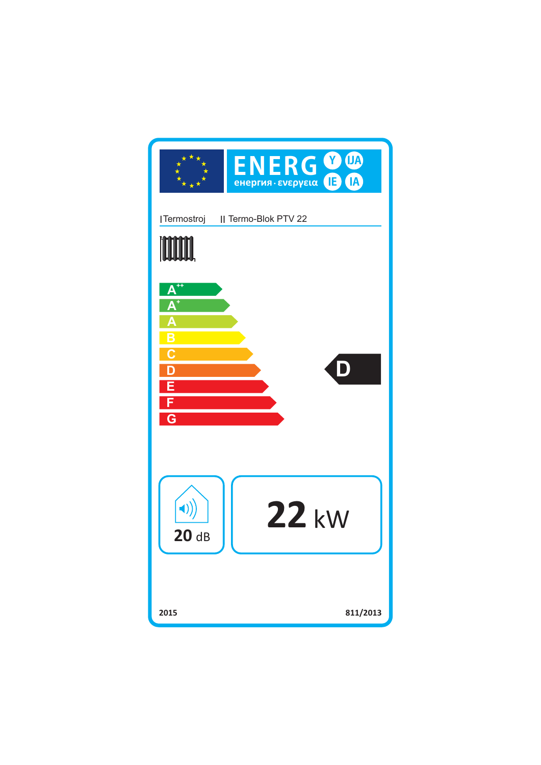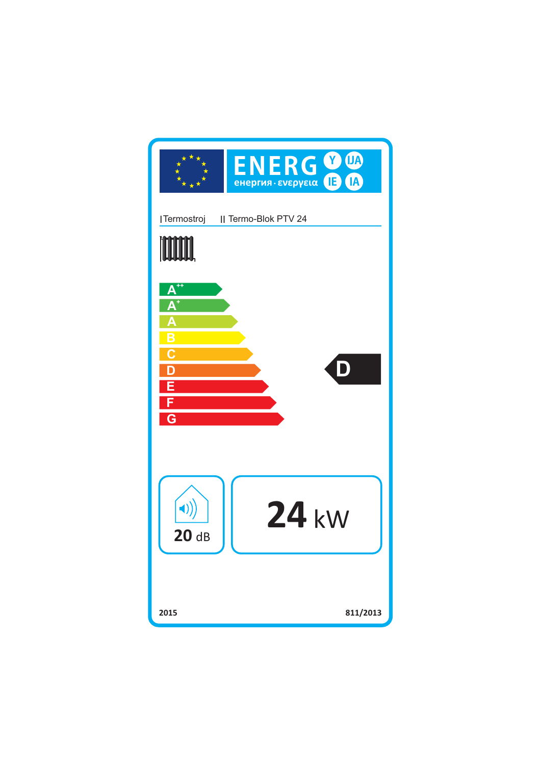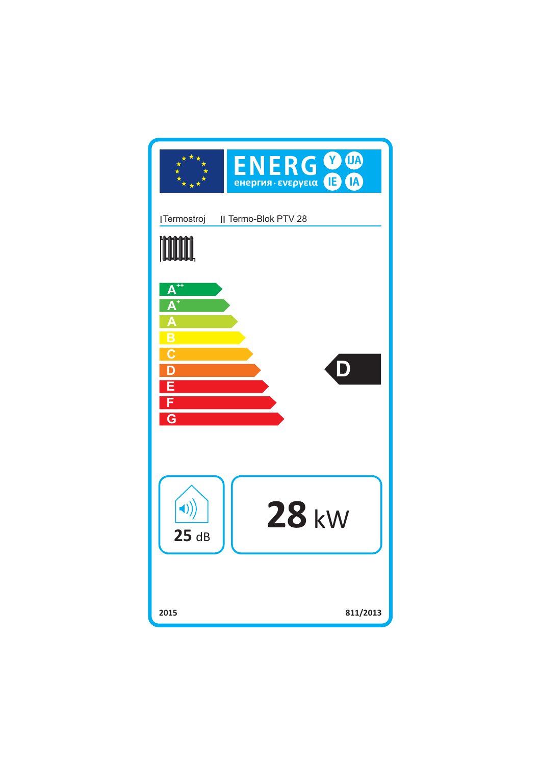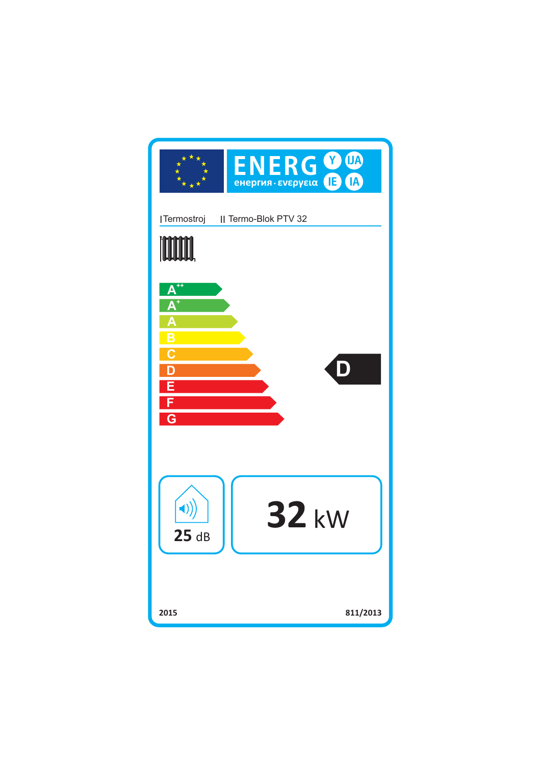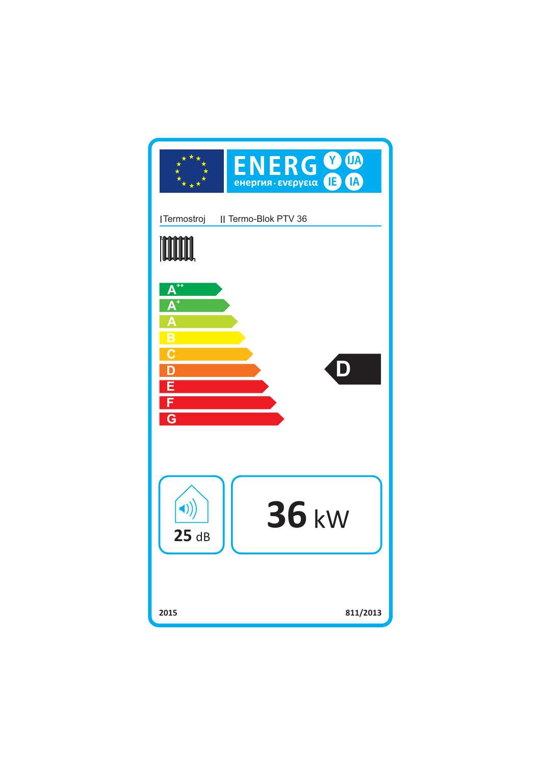